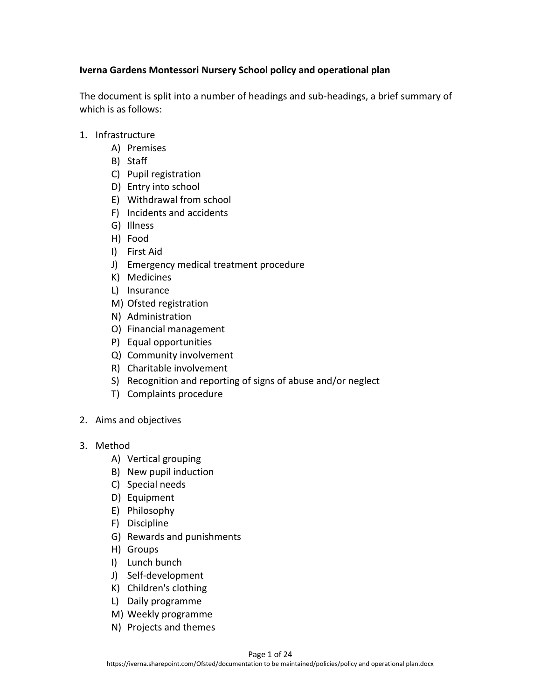## **Iverna Gardens Montessori Nursery School policy and operational plan**

The document is split into a number of headings and sub-headings, a brief summary of which is as follows:

- 1. Infrastructure
	- A) Premises
	- B) Staff
	- C) Pupil registration
	- D) Entry into school
	- E) Withdrawal from school
	- F) Incidents and accidents
	- G) Illness
	- H) Food
	- I) First Aid
	- J) Emergency medical treatment procedure
	- K) Medicines
	- L) Insurance
	- M) Ofsted registration
	- N) Administration
	- O) Financial management
	- P) Equal opportunities
	- Q) Community involvement
	- R) Charitable involvement
	- S) Recognition and reporting of signs of abuse and/or neglect
	- T) Complaints procedure
- 2. Aims and objectives
- 3. Method
	- A) Vertical grouping
	- B) New pupil induction
	- C) Special needs
	- D) Equipment
	- E) Philosophy
	- F) Discipline
	- G) Rewards and punishments
	- H) Groups
	- I) Lunch bunch
	- J) Self-development
	- K) Children's clothing
	- L) Daily programme
	- M) Weekly programme
	- N) Projects and themes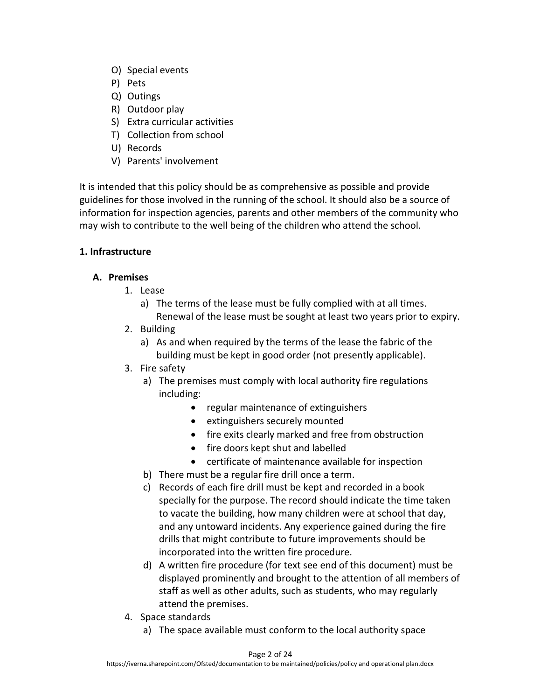- O) Special events
- P) Pets
- Q) Outings
- R) Outdoor play
- S) Extra curricular activities
- T) Collection from school
- U) Records
- V) Parents' involvement

It is intended that this policy should be as comprehensive as possible and provide guidelines for those involved in the running of the school. It should also be a source of information for inspection agencies, parents and other members of the community who may wish to contribute to the well being of the children who attend the school.

## **1. Infrastructure**

## **A. Premises**

- 1. Lease
	- a) The terms of the lease must be fully complied with at all times. Renewal of the lease must be sought at least two years prior to expiry.
- 2. Building
	- a) As and when required by the terms of the lease the fabric of the building must be kept in good order (not presently applicable).
- 3. Fire safety
	- a) The premises must comply with local authority fire regulations including:
		- regular maintenance of extinguishers
		- extinguishers securely mounted
		- fire exits clearly marked and free from obstruction
		- fire doors kept shut and labelled
		- certificate of maintenance available for inspection
	- b) There must be a regular fire drill once a term.
	- c) Records of each fire drill must be kept and recorded in a book specially for the purpose. The record should indicate the time taken to vacate the building, how many children were at school that day, and any untoward incidents. Any experience gained during the fire drills that might contribute to future improvements should be incorporated into the written fire procedure.
	- d) A written fire procedure (for text see end of this document) must be displayed prominently and brought to the attention of all members of staff as well as other adults, such as students, who may regularly attend the premises.
- 4. Space standards
	- a) The space available must conform to the local authority space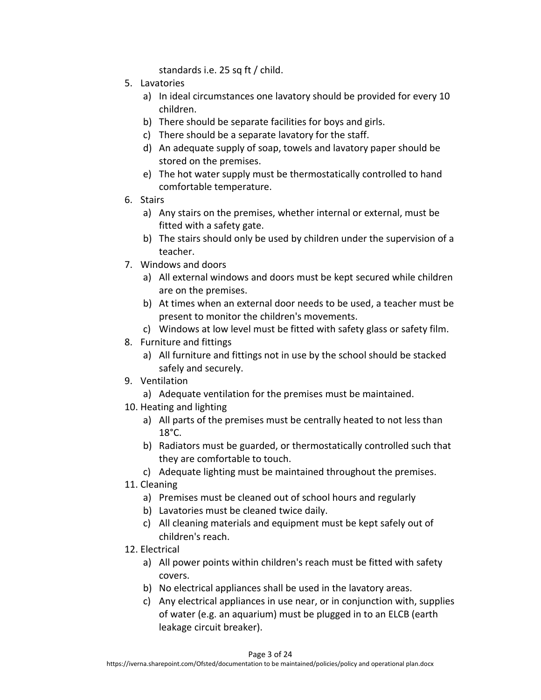standards i.e. 25 sq ft / child.

- 5. Lavatories
	- a) In ideal circumstances one lavatory should be provided for every 10 children.
	- b) There should be separate facilities for boys and girls.
	- c) There should be a separate lavatory for the staff.
	- d) An adequate supply of soap, towels and lavatory paper should be stored on the premises.
	- e) The hot water supply must be thermostatically controlled to hand comfortable temperature.
- 6. Stairs
	- a) Any stairs on the premises, whether internal or external, must be fitted with a safety gate.
	- b) The stairs should only be used by children under the supervision of a teacher.
- 7. Windows and doors
	- a) All external windows and doors must be kept secured while children are on the premises.
	- b) At times when an external door needs to be used, a teacher must be present to monitor the children's movements.
	- c) Windows at low level must be fitted with safety glass or safety film.
- 8. Furniture and fittings
	- a) All furniture and fittings not in use by the school should be stacked safely and securely.
- 9. Ventilation
	- a) Adequate ventilation for the premises must be maintained.
- 10. Heating and lighting
	- a) All parts of the premises must be centrally heated to not less than 18°C.
	- b) Radiators must be guarded, or thermostatically controlled such that they are comfortable to touch.
	- c) Adequate lighting must be maintained throughout the premises.
- 11. Cleaning
	- a) Premises must be cleaned out of school hours and regularly
	- b) Lavatories must be cleaned twice daily.
	- c) All cleaning materials and equipment must be kept safely out of children's reach.
- 12. Electrical
	- a) All power points within children's reach must be fitted with safety covers.
	- b) No electrical appliances shall be used in the lavatory areas.
	- c) Any electrical appliances in use near, or in conjunction with, supplies of water (e.g. an aquarium) must be plugged in to an ELCB (earth leakage circuit breaker).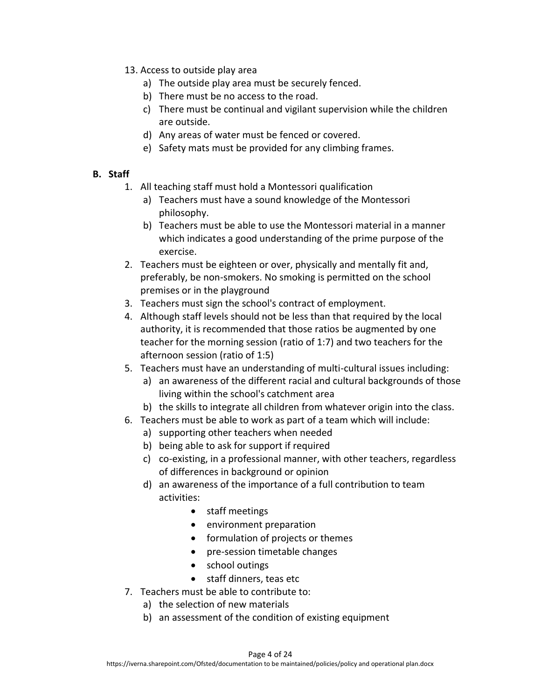- 13. Access to outside play area
	- a) The outside play area must be securely fenced.
	- b) There must be no access to the road.
	- c) There must be continual and vigilant supervision while the children are outside.
	- d) Any areas of water must be fenced or covered.
	- e) Safety mats must be provided for any climbing frames.

### **B. Staff**

- 1. All teaching staff must hold a Montessori qualification
	- a) Teachers must have a sound knowledge of the Montessori philosophy.
	- b) Teachers must be able to use the Montessori material in a manner which indicates a good understanding of the prime purpose of the exercise.
- 2. Teachers must be eighteen or over, physically and mentally fit and, preferably, be non-smokers. No smoking is permitted on the school premises or in the playground
- 3. Teachers must sign the school's contract of employment.
- 4. Although staff levels should not be less than that required by the local authority, it is recommended that those ratios be augmented by one teacher for the morning session (ratio of 1:7) and two teachers for the afternoon session (ratio of 1:5)
- 5. Teachers must have an understanding of multi-cultural issues including:
	- a) an awareness of the different racial and cultural backgrounds of those living within the school's catchment area
	- b) the skills to integrate all children from whatever origin into the class.
- 6. Teachers must be able to work as part of a team which will include:
	- a) supporting other teachers when needed
	- b) being able to ask for support if required
	- c) co-existing, in a professional manner, with other teachers, regardless of differences in background or opinion
	- d) an awareness of the importance of a full contribution to team activities:
		- staff meetings
		- environment preparation
		- formulation of projects or themes
		- pre-session timetable changes
		- school outings
		- staff dinners, teas etc
- 7. Teachers must be able to contribute to:
	- a) the selection of new materials
	- b) an assessment of the condition of existing equipment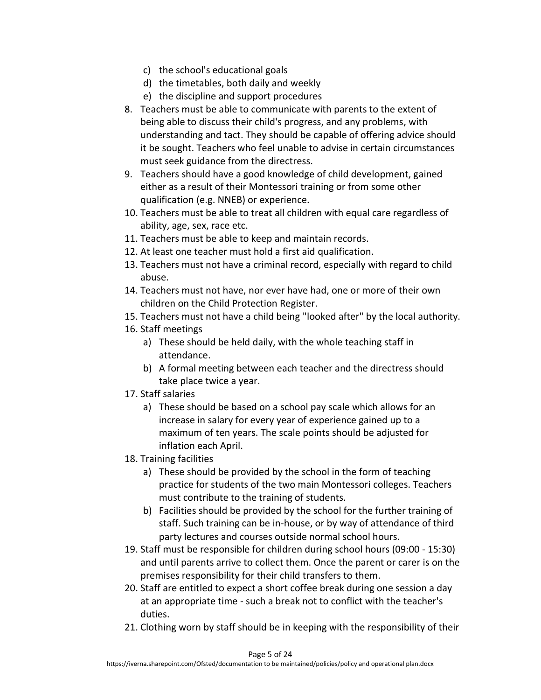- c) the school's educational goals
- d) the timetables, both daily and weekly
- e) the discipline and support procedures
- 8. Teachers must be able to communicate with parents to the extent of being able to discuss their child's progress, and any problems, with understanding and tact. They should be capable of offering advice should it be sought. Teachers who feel unable to advise in certain circumstances must seek guidance from the directress.
- 9. Teachers should have a good knowledge of child development, gained either as a result of their Montessori training or from some other qualification (e.g. NNEB) or experience.
- 10. Teachers must be able to treat all children with equal care regardless of ability, age, sex, race etc.
- 11. Teachers must be able to keep and maintain records.
- 12. At least one teacher must hold a first aid qualification.
- 13. Teachers must not have a criminal record, especially with regard to child abuse.
- 14. Teachers must not have, nor ever have had, one or more of their own children on the Child Protection Register.
- 15. Teachers must not have a child being "looked after" by the local authority.
- 16. Staff meetings
	- a) These should be held daily, with the whole teaching staff in attendance.
	- b) A formal meeting between each teacher and the directress should take place twice a year.
- 17. Staff salaries
	- a) These should be based on a school pay scale which allows for an increase in salary for every year of experience gained up to a maximum of ten years. The scale points should be adjusted for inflation each April.
- 18. Training facilities
	- a) These should be provided by the school in the form of teaching practice for students of the two main Montessori colleges. Teachers must contribute to the training of students.
	- b) Facilities should be provided by the school for the further training of staff. Such training can be in-house, or by way of attendance of third party lectures and courses outside normal school hours.
- 19. Staff must be responsible for children during school hours (09:00 15:30) and until parents arrive to collect them. Once the parent or carer is on the premises responsibility for their child transfers to them.
- 20. Staff are entitled to expect a short coffee break during one session a day at an appropriate time - such a break not to conflict with the teacher's duties.
- 21. Clothing worn by staff should be in keeping with the responsibility of their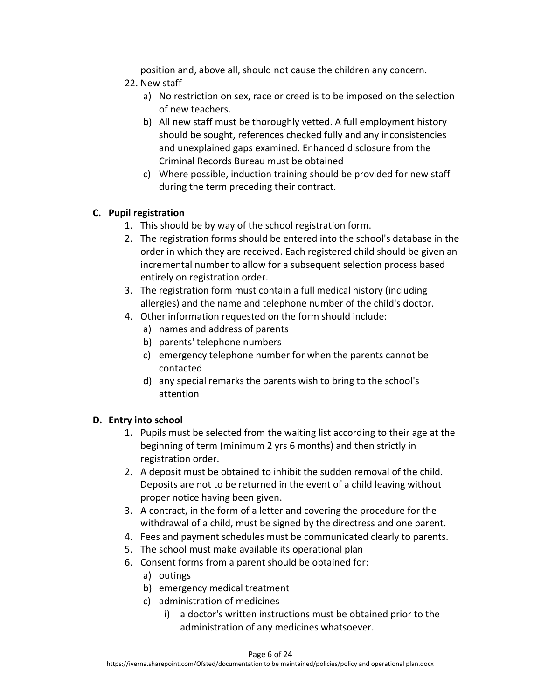position and, above all, should not cause the children any concern.

- 22. New staff
	- a) No restriction on sex, race or creed is to be imposed on the selection of new teachers.
	- b) All new staff must be thoroughly vetted. A full employment history should be sought, references checked fully and any inconsistencies and unexplained gaps examined. Enhanced disclosure from the Criminal Records Bureau must be obtained
	- c) Where possible, induction training should be provided for new staff during the term preceding their contract.

## **C. Pupil registration**

- 1. This should be by way of the school registration form.
- 2. The registration forms should be entered into the school's database in the order in which they are received. Each registered child should be given an incremental number to allow for a subsequent selection process based entirely on registration order.
- 3. The registration form must contain a full medical history (including allergies) and the name and telephone number of the child's doctor.
- 4. Other information requested on the form should include:
	- a) names and address of parents
	- b) parents' telephone numbers
	- c) emergency telephone number for when the parents cannot be contacted
	- d) any special remarks the parents wish to bring to the school's attention

# **D. Entry into school**

- 1. Pupils must be selected from the waiting list according to their age at the beginning of term (minimum 2 yrs 6 months) and then strictly in registration order.
- 2. A deposit must be obtained to inhibit the sudden removal of the child. Deposits are not to be returned in the event of a child leaving without proper notice having been given.
- 3. A contract, in the form of a letter and covering the procedure for the withdrawal of a child, must be signed by the directress and one parent.
- 4. Fees and payment schedules must be communicated clearly to parents.
- 5. The school must make available its operational plan
- 6. Consent forms from a parent should be obtained for:
	- a) outings
	- b) emergency medical treatment
	- c) administration of medicines
		- i) a doctor's written instructions must be obtained prior to the administration of any medicines whatsoever.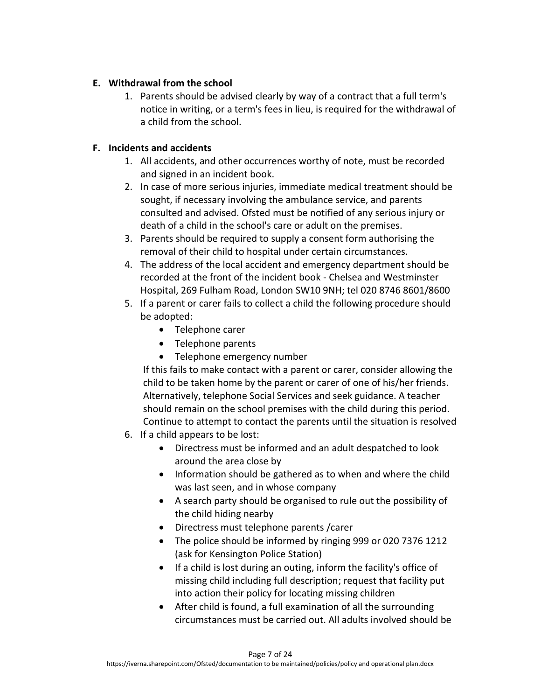## **E. Withdrawal from the school**

1. Parents should be advised clearly by way of a contract that a full term's notice in writing, or a term's fees in lieu, is required for the withdrawal of a child from the school.

## **F. Incidents and accidents**

- 1. All accidents, and other occurrences worthy of note, must be recorded and signed in an incident book.
- 2. In case of more serious injuries, immediate medical treatment should be sought, if necessary involving the ambulance service, and parents consulted and advised. Ofsted must be notified of any serious injury or death of a child in the school's care or adult on the premises.
- 3. Parents should be required to supply a consent form authorising the removal of their child to hospital under certain circumstances.
- 4. The address of the local accident and emergency department should be recorded at the front of the incident book - Chelsea and Westminster Hospital, 269 Fulham Road, London SW10 9NH; tel 020 8746 8601/8600
- 5. If a parent or carer fails to collect a child the following procedure should be adopted:
	- Telephone carer
	- Telephone parents
	- Telephone emergency number

If this fails to make contact with a parent or carer, consider allowing the child to be taken home by the parent or carer of one of his/her friends. Alternatively, telephone Social Services and seek guidance. A teacher should remain on the school premises with the child during this period. Continue to attempt to contact the parents until the situation is resolved

- 6. If a child appears to be lost:
	- Directress must be informed and an adult despatched to look around the area close by
	- Information should be gathered as to when and where the child was last seen, and in whose company
	- A search party should be organised to rule out the possibility of the child hiding nearby
	- Directress must telephone parents /carer
	- The police should be informed by ringing 999 or 020 7376 1212 (ask for Kensington Police Station)
	- If a child is lost during an outing, inform the facility's office of missing child including full description; request that facility put into action their policy for locating missing children
	- After child is found, a full examination of all the surrounding circumstances must be carried out. All adults involved should be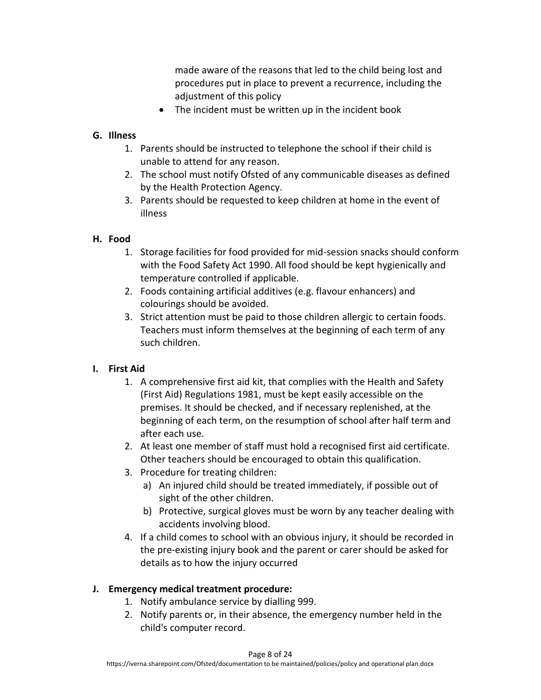made aware of the reasons that led to the child being lost and procedures put in place to prevent a recurrence, including the adjustment of this policy

• The incident must be written up in the incident book

## **G. Illness**

- 1. Parents should be instructed to telephone the school if their child is unable to attend for any reason.
- 2. The school must notify Ofsted of any communicable diseases as defined by the Health Protection Agency.
- 3. Parents should be requested to keep children at home in the event of illness

## **H. Food**

- 1. Storage facilities for food provided for mid-session snacks should conform with the Food Safety Act 1990. All food should be kept hygienically and temperature controlled if applicable.
- 2. Foods containing artificial additives (e.g. flavour enhancers) and colourings should be avoided.
- 3. Strict attention must be paid to those children allergic to certain foods. Teachers must inform themselves at the beginning of each term of any such children.

## **I. First Aid**

- 1. A comprehensive first aid kit, that complies with the Health and Safety (First Aid) Regulations 1981, must be kept easily accessible on the premises. It should be checked, and if necessary replenished, at the beginning of each term, on the resumption of school after half term and after each use.
- 2. At least one member of staff must hold a recognised first aid certificate. Other teachers should be encouraged to obtain this qualification.
- 3. Procedure for treating children:
	- a) An injured child should be treated immediately, if possible out of sight of the other children.
	- b) Protective, surgical gloves must be worn by any teacher dealing with accidents involving blood.
- 4. If a child comes to school with an obvious injury, it should be recorded in the pre-existing injury book and the parent or carer should be asked for details as to how the injury occurred

## **J. Emergency medical treatment procedure:**

- 1. Notify ambulance service by dialling 999.
- 2. Notify parents or, in their absence, the emergency number held in the child's computer record.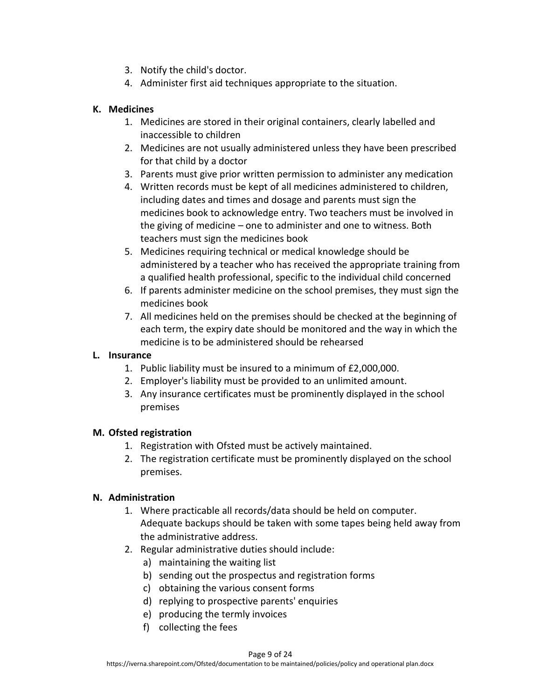- 3. Notify the child's doctor.
- 4. Administer first aid techniques appropriate to the situation.

## **K. Medicines**

- 1. Medicines are stored in their original containers, clearly labelled and inaccessible to children
- 2. Medicines are not usually administered unless they have been prescribed for that child by a doctor
- 3. Parents must give prior written permission to administer any medication
- 4. Written records must be kept of all medicines administered to children, including dates and times and dosage and parents must sign the medicines book to acknowledge entry. Two teachers must be involved in the giving of medicine – one to administer and one to witness. Both teachers must sign the medicines book
- 5. Medicines requiring technical or medical knowledge should be administered by a teacher who has received the appropriate training from a qualified health professional, specific to the individual child concerned
- 6. If parents administer medicine on the school premises, they must sign the medicines book
- 7. All medicines held on the premises should be checked at the beginning of each term, the expiry date should be monitored and the way in which the medicine is to be administered should be rehearsed

## **L. Insurance**

- 1. Public liability must be insured to a minimum of £2,000,000.
- 2. Employer's liability must be provided to an unlimited amount.
- 3. Any insurance certificates must be prominently displayed in the school premises

## **M. Ofsted registration**

- 1. Registration with Ofsted must be actively maintained.
- 2. The registration certificate must be prominently displayed on the school premises.

## **N. Administration**

- 1. Where practicable all records/data should be held on computer. Adequate backups should be taken with some tapes being held away from the administrative address.
- 2. Regular administrative duties should include:
	- a) maintaining the waiting list
	- b) sending out the prospectus and registration forms
	- c) obtaining the various consent forms
	- d) replying to prospective parents' enquiries
	- e) producing the termly invoices
	- f) collecting the fees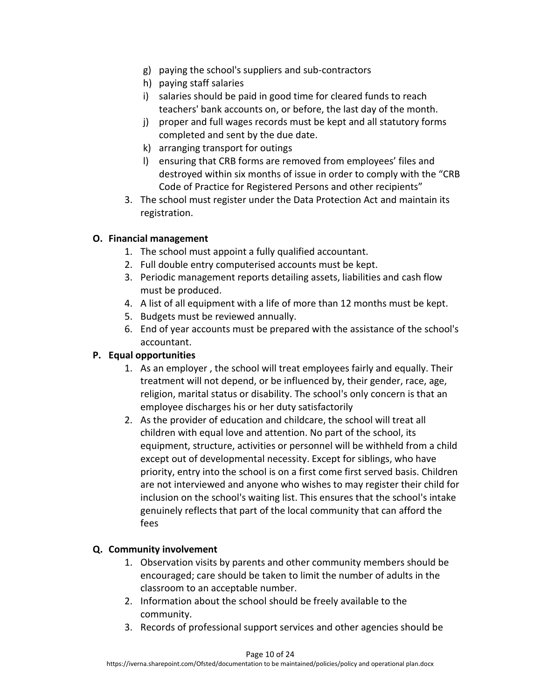- g) paying the school's suppliers and sub-contractors
- h) paying staff salaries
- i) salaries should be paid in good time for cleared funds to reach teachers' bank accounts on, or before, the last day of the month.
- j) proper and full wages records must be kept and all statutory forms completed and sent by the due date.
- k) arranging transport for outings
- l) ensuring that CRB forms are removed from employees' files and destroyed within six months of issue in order to comply with the "CRB Code of Practice for Registered Persons and other recipients"
- 3. The school must register under the Data Protection Act and maintain its registration.

## **O. Financial management**

- 1. The school must appoint a fully qualified accountant.
- 2. Full double entry computerised accounts must be kept.
- 3. Periodic management reports detailing assets, liabilities and cash flow must be produced.
- 4. A list of all equipment with a life of more than 12 months must be kept.
- 5. Budgets must be reviewed annually.
- 6. End of year accounts must be prepared with the assistance of the school's accountant.

## **P. Equal opportunities**

- 1. As an employer , the school will treat employees fairly and equally. Their treatment will not depend, or be influenced by, their gender, race, age, religion, marital status or disability. The school's only concern is that an employee discharges his or her duty satisfactorily
- 2. As the provider of education and childcare, the school will treat all children with equal love and attention. No part of the school, its equipment, structure, activities or personnel will be withheld from a child except out of developmental necessity. Except for siblings, who have priority, entry into the school is on a first come first served basis. Children are not interviewed and anyone who wishes to may register their child for inclusion on the school's waiting list. This ensures that the school's intake genuinely reflects that part of the local community that can afford the fees

# **Q. Community involvement**

- 1. Observation visits by parents and other community members should be encouraged; care should be taken to limit the number of adults in the classroom to an acceptable number.
- 2. Information about the school should be freely available to the community.
- 3. Records of professional support services and other agencies should be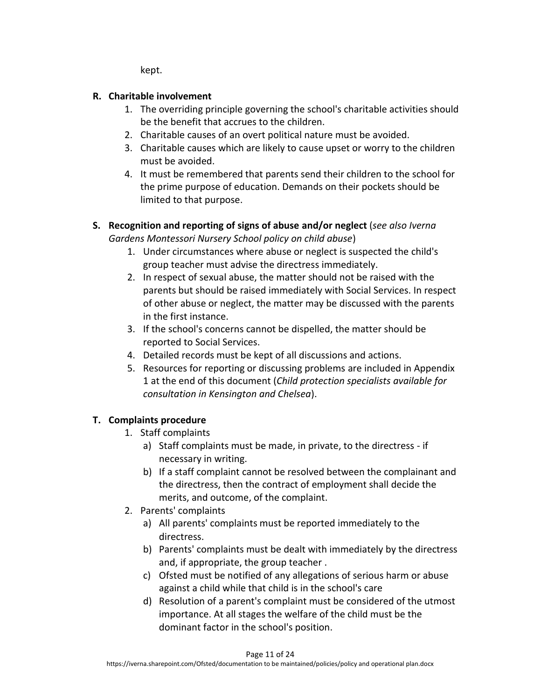kept.

## **R. Charitable involvement**

- 1. The overriding principle governing the school's charitable activities should be the benefit that accrues to the children.
- 2. Charitable causes of an overt political nature must be avoided.
- 3. Charitable causes which are likely to cause upset or worry to the children must be avoided.
- 4. It must be remembered that parents send their children to the school for the prime purpose of education. Demands on their pockets should be limited to that purpose.

## **S. Recognition and reporting of signs of abuse and/or neglect** (*see also Iverna Gardens Montessori Nursery School policy on child abuse*)

- 1. Under circumstances where abuse or neglect is suspected the child's group teacher must advise the directress immediately.
- 2. In respect of sexual abuse, the matter should not be raised with the parents but should be raised immediately with Social Services. In respect of other abuse or neglect, the matter may be discussed with the parents in the first instance.
- 3. If the school's concerns cannot be dispelled, the matter should be reported to Social Services.
- 4. Detailed records must be kept of all discussions and actions.
- 5. Resources for reporting or discussing problems are included in Appendix 1 at the end of this document (*Child protection specialists available for consultation in Kensington and Chelsea*).

# **T. Complaints procedure**

- 1. Staff complaints
	- a) Staff complaints must be made, in private, to the directress if necessary in writing.
	- b) If a staff complaint cannot be resolved between the complainant and the directress, then the contract of employment shall decide the merits, and outcome, of the complaint.
- 2. Parents' complaints
	- a) All parents' complaints must be reported immediately to the directress.
	- b) Parents' complaints must be dealt with immediately by the directress and, if appropriate, the group teacher .
	- c) Ofsted must be notified of any allegations of serious harm or abuse against a child while that child is in the school's care
	- d) Resolution of a parent's complaint must be considered of the utmost importance. At all stages the welfare of the child must be the dominant factor in the school's position.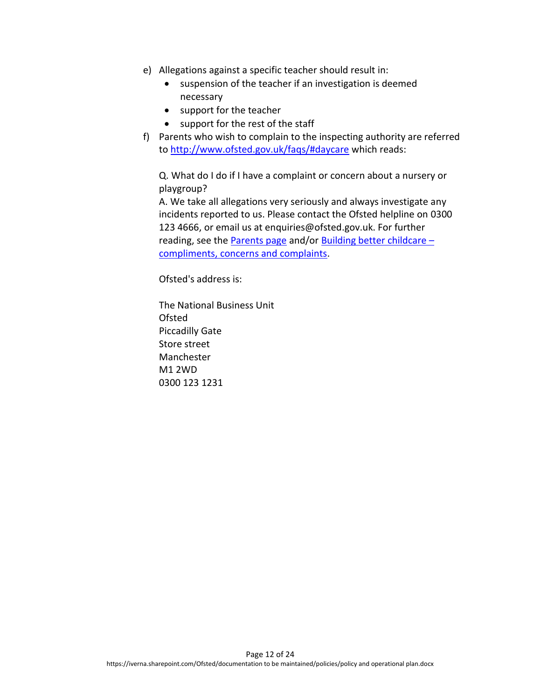- e) Allegations against a specific teacher should result in:
	- suspension of the teacher if an investigation is deemed necessary
	- support for the teacher
	- support for the rest of the staff
- f) Parents who wish to complain to the inspecting authority are referred to<http://www.ofsted.gov.uk/faqs/#daycare> which reads:

Q. What do I do if I have a complaint or concern about a nursery or playgroup?

A. We take all allegations very seriously and always investigate any incidents reported to us. Please contact the Ofsted helpline on 0300 123 4666, or email us at enquiries@ofsted.gov.uk. For further reading, see the [Parents page](http://www.ofsted.gov.uk/parents/#cadc) and/or [Building better childcare](http://www.ofsted.gov.uk/publications/index.cfm?fuseaction=pubs.summary&id=2841)  $$ [compliments, concerns and complaints.](http://www.ofsted.gov.uk/publications/index.cfm?fuseaction=pubs.summary&id=2841)

Ofsted's address is:

The National Business Unit Ofsted Piccadilly Gate Store street Manchester M1 2WD 0300 123 1231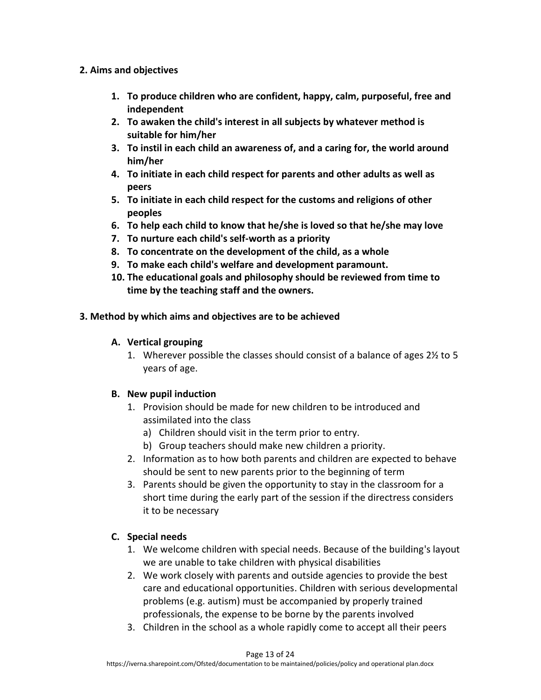### **2. Aims and objectives**

- **1. To produce children who are confident, happy, calm, purposeful, free and independent**
- **2. To awaken the child's interest in all subjects by whatever method is suitable for him/her**
- **3. To instil in each child an awareness of, and a caring for, the world around him/her**
- **4. To initiate in each child respect for parents and other adults as well as peers**
- **5. To initiate in each child respect for the customs and religions of other peoples**
- **6. To help each child to know that he/she is loved so that he/she may love**
- **7. To nurture each child's self-worth as a priority**
- **8. To concentrate on the development of the child, as a whole**
- **9. To make each child's welfare and development paramount.**
- **10. The educational goals and philosophy should be reviewed from time to time by the teaching staff and the owners.**
- **3. Method by which aims and objectives are to be achieved**

## **A. Vertical grouping**

1. Wherever possible the classes should consist of a balance of ages 2½ to 5 years of age.

## **B. New pupil induction**

- 1. Provision should be made for new children to be introduced and assimilated into the class
	- a) Children should visit in the term prior to entry.
	- b) Group teachers should make new children a priority.
- 2. Information as to how both parents and children are expected to behave should be sent to new parents prior to the beginning of term
- 3. Parents should be given the opportunity to stay in the classroom for a short time during the early part of the session if the directress considers it to be necessary

# **C. Special needs**

- 1. We welcome children with special needs. Because of the building's layout we are unable to take children with physical disabilities
- 2. We work closely with parents and outside agencies to provide the best care and educational opportunities. Children with serious developmental problems (e.g. autism) must be accompanied by properly trained professionals, the expense to be borne by the parents involved
- 3. Children in the school as a whole rapidly come to accept all their peers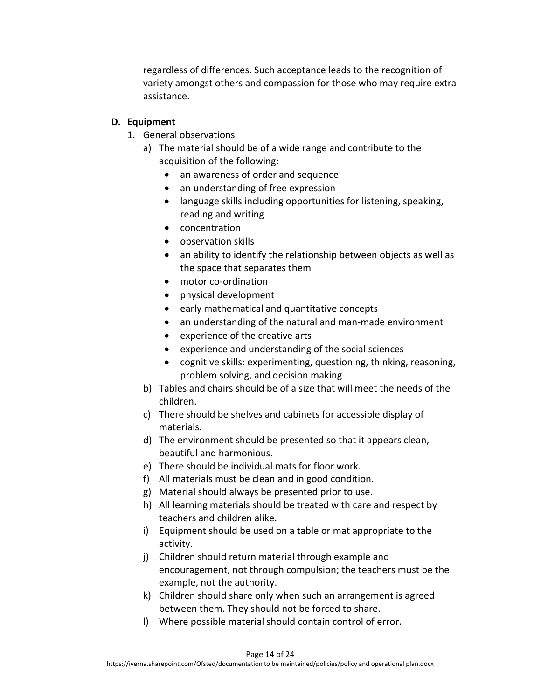regardless of differences. Such acceptance leads to the recognition of variety amongst others and compassion for those who may require extra assistance.

## **D. Equipment**

- 1. General observations
	- a) The material should be of a wide range and contribute to the acquisition of the following:
		- an awareness of order and sequence
		- an understanding of free expression
		- language skills including opportunities for listening, speaking, reading and writing
		- concentration
		- observation skills
		- an ability to identify the relationship between objects as well as the space that separates them
		- motor co-ordination
		- physical development
		- early mathematical and quantitative concepts
		- an understanding of the natural and man-made environment
		- experience of the creative arts
		- experience and understanding of the social sciences
		- cognitive skills: experimenting, questioning, thinking, reasoning, problem solving, and decision making
	- b) Tables and chairs should be of a size that will meet the needs of the children.
	- c) There should be shelves and cabinets for accessible display of materials.
	- d) The environment should be presented so that it appears clean, beautiful and harmonious.
	- e) There should be individual mats for floor work.
	- f) All materials must be clean and in good condition.
	- g) Material should always be presented prior to use.
	- h) All learning materials should be treated with care and respect by teachers and children alike.
	- i) Equipment should be used on a table or mat appropriate to the activity.
	- j) Children should return material through example and encouragement, not through compulsion; the teachers must be the example, not the authority.
	- k) Children should share only when such an arrangement is agreed between them. They should not be forced to share.
	- l) Where possible material should contain control of error.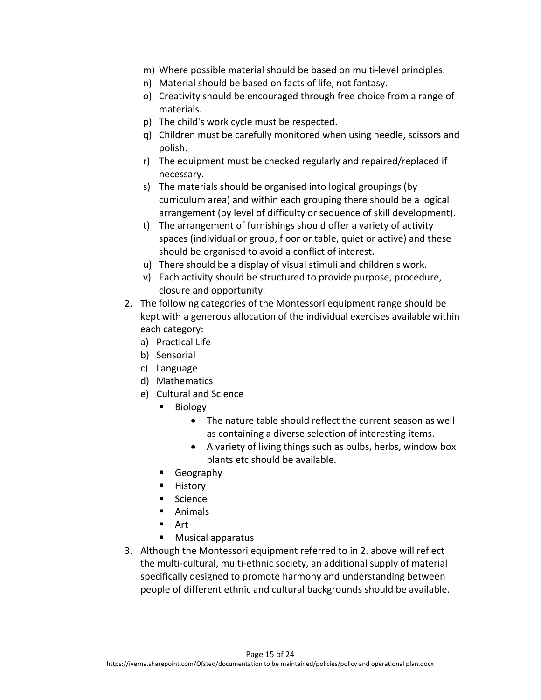- m) Where possible material should be based on multi-level principles.
- n) Material should be based on facts of life, not fantasy.
- o) Creativity should be encouraged through free choice from a range of materials.
- p) The child's work cycle must be respected.
- q) Children must be carefully monitored when using needle, scissors and polish.
- r) The equipment must be checked regularly and repaired/replaced if necessary.
- s) The materials should be organised into logical groupings (by curriculum area) and within each grouping there should be a logical arrangement (by level of difficulty or sequence of skill development).
- t) The arrangement of furnishings should offer a variety of activity spaces (individual or group, floor or table, quiet or active) and these should be organised to avoid a conflict of interest.
- u) There should be a display of visual stimuli and children's work.
- v) Each activity should be structured to provide purpose, procedure, closure and opportunity.
- 2. The following categories of the Montessori equipment range should be kept with a generous allocation of the individual exercises available within each category:
	- a) Practical Life
	- b) Sensorial
	- c) Language
	- d) Mathematics
	- e) Cultural and Science
		- Biology
			- The nature table should reflect the current season as well as containing a diverse selection of interesting items.
			- A variety of living things such as bulbs, herbs, window box plants etc should be available.
		- Geography
		- History
		- Science
		- Animals
		- Art
		- Musical apparatus
- 3. Although the Montessori equipment referred to in 2. above will reflect the multi-cultural, multi-ethnic society, an additional supply of material specifically designed to promote harmony and understanding between people of different ethnic and cultural backgrounds should be available.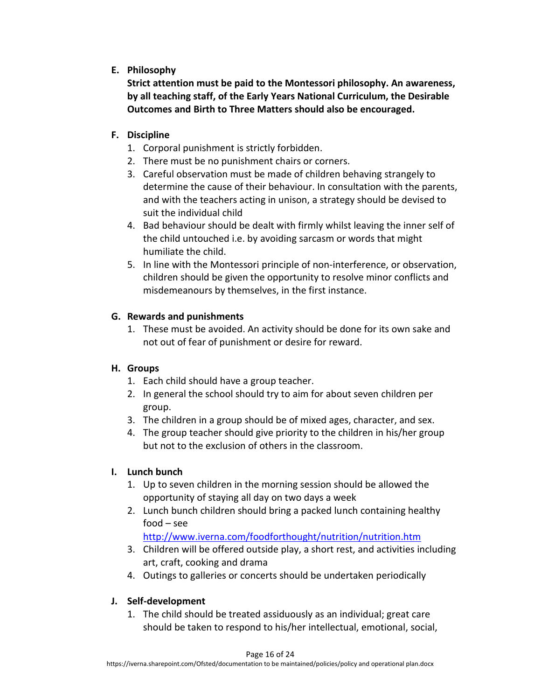## **E. Philosophy**

**Strict attention must be paid to the Montessori philosophy. An awareness, by all teaching staff, of the Early Years National Curriculum, the Desirable Outcomes and Birth to Three Matters should also be encouraged.**

## **F. Discipline**

- 1. Corporal punishment is strictly forbidden.
- 2. There must be no punishment chairs or corners.
- 3. Careful observation must be made of children behaving strangely to determine the cause of their behaviour. In consultation with the parents, and with the teachers acting in unison, a strategy should be devised to suit the individual child
- 4. Bad behaviour should be dealt with firmly whilst leaving the inner self of the child untouched i.e. by avoiding sarcasm or words that might humiliate the child.
- 5. In line with the Montessori principle of non-interference, or observation, children should be given the opportunity to resolve minor conflicts and misdemeanours by themselves, in the first instance.

## **G. Rewards and punishments**

1. These must be avoided. An activity should be done for its own sake and not out of fear of punishment or desire for reward.

## **H. Groups**

- 1. Each child should have a group teacher.
- 2. In general the school should try to aim for about seven children per group.
- 3. The children in a group should be of mixed ages, character, and sex.
- 4. The group teacher should give priority to the children in his/her group but not to the exclusion of others in the classroom.

## **I. Lunch bunch**

- 1. Up to seven children in the morning session should be allowed the opportunity of staying all day on two days a week
- 2. Lunch bunch children should bring a packed lunch containing healthy food – see

## <http://www.iverna.com/foodforthought/nutrition/nutrition.htm>

- 3. Children will be offered outside play, a short rest, and activities including art, craft, cooking and drama
- 4. Outings to galleries or concerts should be undertaken periodically

## **J. Self-development**

1. The child should be treated assiduously as an individual; great care should be taken to respond to his/her intellectual, emotional, social,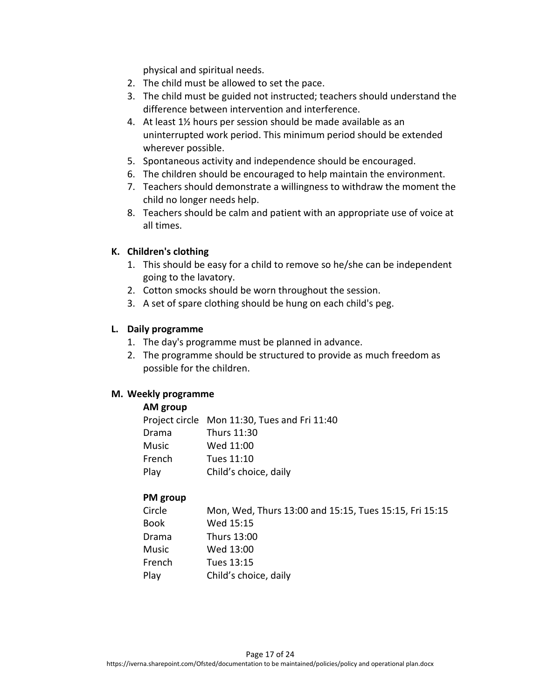physical and spiritual needs.

- 2. The child must be allowed to set the pace.
- 3. The child must be guided not instructed; teachers should understand the difference between intervention and interference.
- 4. At least 1½ hours per session should be made available as an uninterrupted work period. This minimum period should be extended wherever possible.
- 5. Spontaneous activity and independence should be encouraged.
- 6. The children should be encouraged to help maintain the environment.
- 7. Teachers should demonstrate a willingness to withdraw the moment the child no longer needs help.
- 8. Teachers should be calm and patient with an appropriate use of voice at all times.

### **K. Children's clothing**

- 1. This should be easy for a child to remove so he/she can be independent going to the lavatory.
- 2. Cotton smocks should be worn throughout the session.
- 3. A set of spare clothing should be hung on each child's peg.

### **L. Daily programme**

- 1. The day's programme must be planned in advance.
- 2. The programme should be structured to provide as much freedom as possible for the children.

#### **M. Weekly programme**

#### **AM group**

|        | Project circle Mon 11:30, Tues and Fri 11:40 |
|--------|----------------------------------------------|
| Drama  | Thurs 11:30                                  |
| Music  | Wed 11:00                                    |
| French | Tues 11:10                                   |
| Play   | Child's choice, daily                        |

#### **PM group**

| Circle | Mon, Wed, Thurs 13:00 and 15:15, Tues 15:15, Fri 15:15 |
|--------|--------------------------------------------------------|
| Book   | Wed 15:15                                              |
| Drama  | Thurs 13:00                                            |
| Music  | Wed 13:00                                              |
| French | Tues 13:15                                             |
| Play   | Child's choice, daily                                  |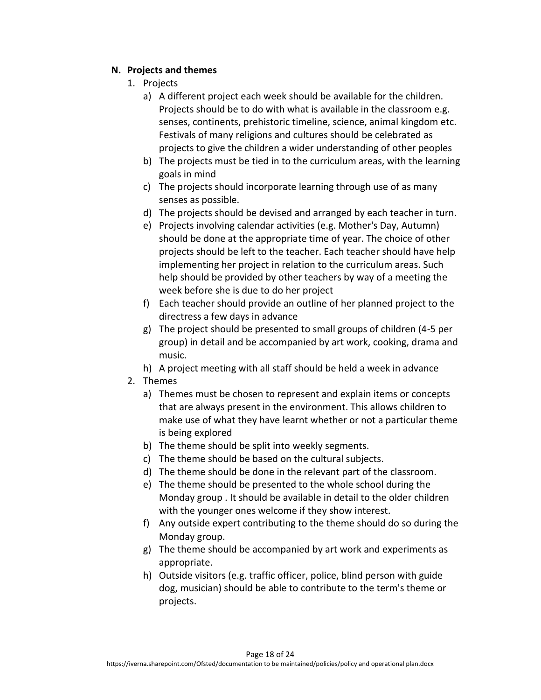## **N. Projects and themes**

- 1. Projects
	- a) A different project each week should be available for the children. Projects should be to do with what is available in the classroom e.g. senses, continents, prehistoric timeline, science, animal kingdom etc. Festivals of many religions and cultures should be celebrated as projects to give the children a wider understanding of other peoples
	- b) The projects must be tied in to the curriculum areas, with the learning goals in mind
	- c) The projects should incorporate learning through use of as many senses as possible.
	- d) The projects should be devised and arranged by each teacher in turn.
	- e) Projects involving calendar activities (e.g. Mother's Day, Autumn) should be done at the appropriate time of year. The choice of other projects should be left to the teacher. Each teacher should have help implementing her project in relation to the curriculum areas. Such help should be provided by other teachers by way of a meeting the week before she is due to do her project
	- f) Each teacher should provide an outline of her planned project to the directress a few days in advance
	- g) The project should be presented to small groups of children (4-5 per group) in detail and be accompanied by art work, cooking, drama and music.
	- h) A project meeting with all staff should be held a week in advance
- 2. Themes
	- a) Themes must be chosen to represent and explain items or concepts that are always present in the environment. This allows children to make use of what they have learnt whether or not a particular theme is being explored
	- b) The theme should be split into weekly segments.
	- c) The theme should be based on the cultural subjects.
	- d) The theme should be done in the relevant part of the classroom.
	- e) The theme should be presented to the whole school during the Monday group . It should be available in detail to the older children with the younger ones welcome if they show interest.
	- f) Any outside expert contributing to the theme should do so during the Monday group.
	- g) The theme should be accompanied by art work and experiments as appropriate.
	- h) Outside visitors (e.g. traffic officer, police, blind person with guide dog, musician) should be able to contribute to the term's theme or projects.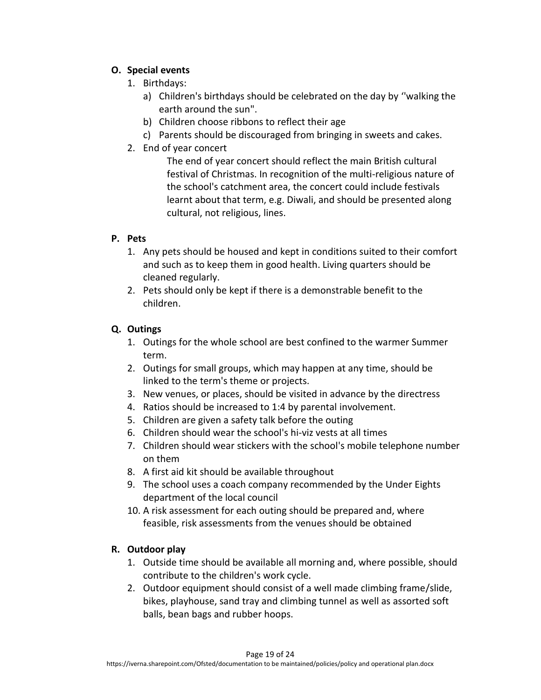## **O. Special events**

- 1. Birthdays:
	- a) Children's birthdays should be celebrated on the day by ''walking the earth around the sun".
	- b) Children choose ribbons to reflect their age
	- c) Parents should be discouraged from bringing in sweets and cakes.
- 2. End of year concert

The end of year concert should reflect the main British cultural festival of Christmas. In recognition of the multi-religious nature of the school's catchment area, the concert could include festivals learnt about that term, e.g. Diwali, and should be presented along cultural, not religious, lines.

## **P. Pets**

- 1. Any pets should be housed and kept in conditions suited to their comfort and such as to keep them in good health. Living quarters should be cleaned regularly.
- 2. Pets should only be kept if there is a demonstrable benefit to the children.

## **Q. Outings**

- 1. Outings for the whole school are best confined to the warmer Summer term.
- 2. Outings for small groups, which may happen at any time, should be linked to the term's theme or projects.
- 3. New venues, or places, should be visited in advance by the directress
- 4. Ratios should be increased to 1:4 by parental involvement.
- 5. Children are given a safety talk before the outing
- 6. Children should wear the school's hi-viz vests at all times
- 7. Children should wear stickers with the school's mobile telephone number on them
- 8. A first aid kit should be available throughout
- 9. The school uses a coach company recommended by the Under Eights department of the local council
- 10. A risk assessment for each outing should be prepared and, where feasible, risk assessments from the venues should be obtained

# **R. Outdoor play**

- 1. Outside time should be available all morning and, where possible, should contribute to the children's work cycle.
- 2. Outdoor equipment should consist of a well made climbing frame/slide, bikes, playhouse, sand tray and climbing tunnel as well as assorted soft balls, bean bags and rubber hoops.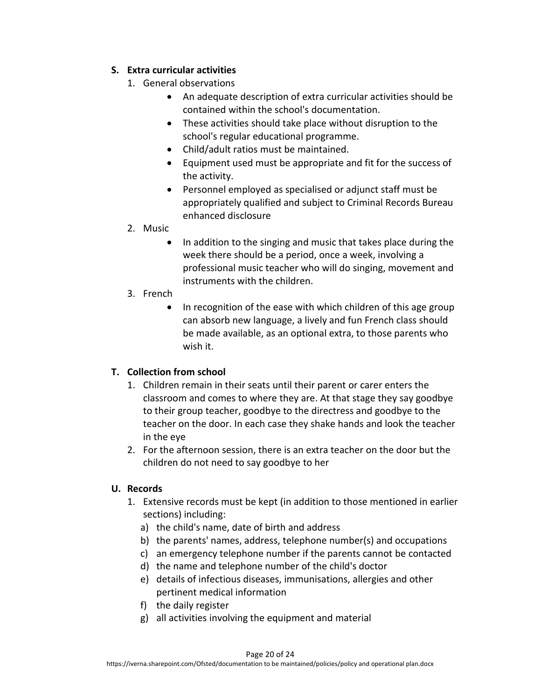## **S. Extra curricular activities**

- 1. General observations
	- An adequate description of extra curricular activities should be contained within the school's documentation.
	- These activities should take place without disruption to the school's regular educational programme.
	- Child/adult ratios must be maintained.
	- Equipment used must be appropriate and fit for the success of the activity.
	- Personnel employed as specialised or adjunct staff must be appropriately qualified and subject to Criminal Records Bureau enhanced disclosure
- 2. Music
	- In addition to the singing and music that takes place during the week there should be a period, once a week, involving a professional music teacher who will do singing, movement and instruments with the children.
- 3. French
	- In recognition of the ease with which children of this age group can absorb new language, a lively and fun French class should be made available, as an optional extra, to those parents who wish it.

# **T. Collection from school**

- 1. Children remain in their seats until their parent or carer enters the classroom and comes to where they are. At that stage they say goodbye to their group teacher, goodbye to the directress and goodbye to the teacher on the door. In each case they shake hands and look the teacher in the eye
- 2. For the afternoon session, there is an extra teacher on the door but the children do not need to say goodbye to her

# **U. Records**

- 1. Extensive records must be kept (in addition to those mentioned in earlier sections) including:
	- a) the child's name, date of birth and address
	- b) the parents' names, address, telephone number(s) and occupations
	- c) an emergency telephone number if the parents cannot be contacted
	- d) the name and telephone number of the child's doctor
	- e) details of infectious diseases, immunisations, allergies and other pertinent medical information
	- f) the daily register
	- g) all activities involving the equipment and material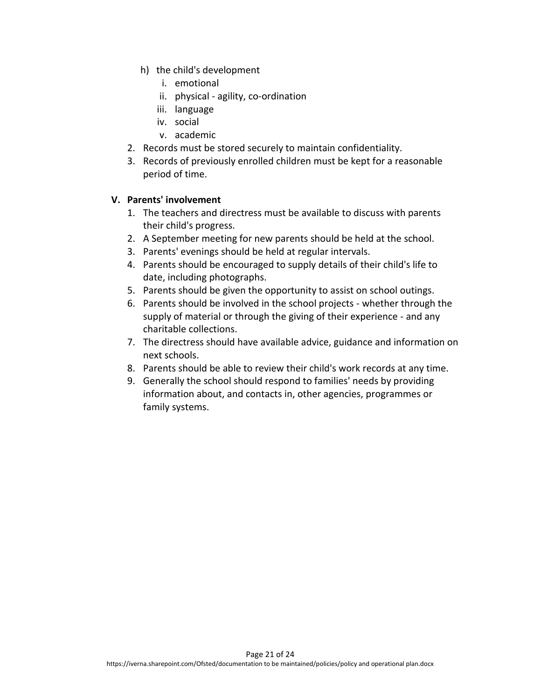- h) the child's development
	- i. emotional
	- ii. physical agility, co-ordination
	- iii. language
	- iv. social
	- v. academic
- 2. Records must be stored securely to maintain confidentiality.
- 3. Records of previously enrolled children must be kept for a reasonable period of time.

#### **V. Parents' involvement**

- 1. The teachers and directress must be available to discuss with parents their child's progress.
- 2. A September meeting for new parents should be held at the school.
- 3. Parents' evenings should be held at regular intervals.
- 4. Parents should be encouraged to supply details of their child's life to date, including photographs.
- 5. Parents should be given the opportunity to assist on school outings.
- 6. Parents should be involved in the school projects whether through the supply of material or through the giving of their experience - and any charitable collections.
- 7. The directress should have available advice, guidance and information on next schools.
- 8. Parents should be able to review their child's work records at any time.
- 9. Generally the school should respond to families' needs by providing information about, and contacts in, other agencies, programmes or family systems.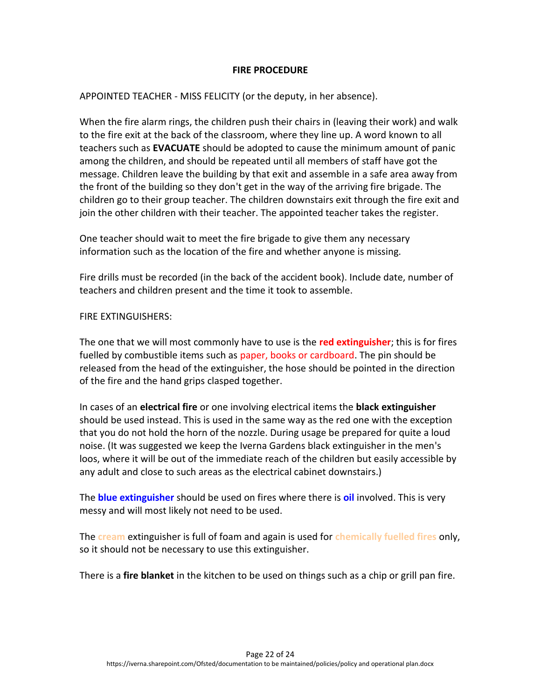#### **FIRE PROCEDURE**

APPOINTED TEACHER - MISS FELICITY (or the deputy, in her absence).

When the fire alarm rings, the children push their chairs in (leaving their work) and walk to the fire exit at the back of the classroom, where they line up. A word known to all teachers such as **EVACUATE** should be adopted to cause the minimum amount of panic among the children, and should be repeated until all members of staff have got the message. Children leave the building by that exit and assemble in a safe area away from the front of the building so they don't get in the way of the arriving fire brigade. The children go to their group teacher. The children downstairs exit through the fire exit and join the other children with their teacher. The appointed teacher takes the register.

One teacher should wait to meet the fire brigade to give them any necessary information such as the location of the fire and whether anyone is missing.

Fire drills must be recorded (in the back of the accident book). Include date, number of teachers and children present and the time it took to assemble.

#### FIRE EXTINGUISHERS:

The one that we will most commonly have to use is the **red extinguisher**; this is for fires fuelled by combustible items such as paper, books or cardboard. The pin should be released from the head of the extinguisher, the hose should be pointed in the direction of the fire and the hand grips clasped together.

In cases of an **electrical fire** or one involving electrical items the **black extinguisher** should be used instead. This is used in the same way as the red one with the exception that you do not hold the horn of the nozzle. During usage be prepared for quite a loud noise. (It was suggested we keep the Iverna Gardens black extinguisher in the men's loos, where it will be out of the immediate reach of the children but easily accessible by any adult and close to such areas as the electrical cabinet downstairs.)

The **blue extinguisher** should be used on fires where there is **oil** involved. This is very messy and will most likely not need to be used.

The **cream** extinguisher is full of foam and again is used for **chemically fuelled fires** only, so it should not be necessary to use this extinguisher.

There is a **fire blanket** in the kitchen to be used on things such as a chip or grill pan fire.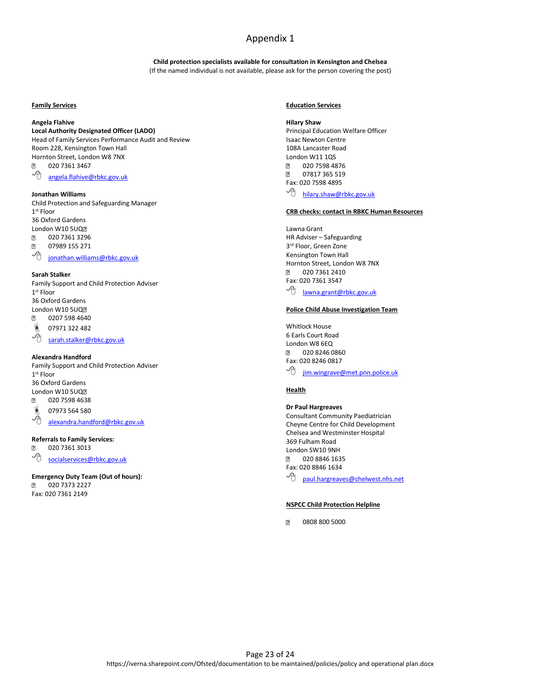#### Appendix 1

**Child protection specialists available for consultation in Kensington and Chelsea** (If the named individual is not available, please ask for the person covering the post)

#### **Family Services**

#### **Angela Flahive**

**Local Authority Designated Officer (LADO)** Head of Family Services Performance Audit and Review

Room 228, Kensington Town Hall Hornton Street, London W8 7NX<br>2 020 7361 3467 020 7361 3467

[angela.flahive@rbkc.gov.uk](mailto:angela.flahive@rbkc.gov.uk)

#### **Jonathan Williams**

Child Protection and Safeguarding Manager 1 st Floor 36 Oxford Gardens London W10 5UQ  $\overline{2}$ 020 7361 3296  $\overline{2}$ 07989 155 271 <sup>1</sup> [jonathan.williams@rbkc.gov.uk](mailto:isabel.friedlander@rbkc.gov.uk)

#### **Sarah Stalker**

Family Support and Child Protection Adviser 1 st Floor 36 Oxford Gardens London W10 5UQ?  $\boxed{?}$ 0207 598 4640

 $\overset{\circledR}{\otimes}$  07971 322 482

[sarah.stalker@rbkc.gov.uk](mailto:sarah.stalker@rbkc.gov.uk)

#### **Alexandra Handford**

Family Support and Child Protection Adviser 1 st Floor 36 Oxford Gardens London W10 5UQ? 020 7598 4638  $\overline{2}$  $^{\circ}$  07973 564 580 [alexandra.handford@rbkc.gov.uk](mailto:alexandra.handford@rbkc.gov.uk)

**Referrals to Family Services:**

020 7361 3013  $\boxed{2}$ **<sup>t</sup>** [socialservices@rbkc.gov.uk](mailto:socialservices@rbkc.gov.uk)

#### **Emergency Duty Team (Out of hours):**  $\boxed{?}$

020 7373 2227 Fax: 020 7361 2149

#### **Education Services**

**Hilary Shaw** Principal Education Welfare Officer Isaac Newton Centre 108A Lancaster Road London W11 1QS 卪 020 7598 4876  $\overline{2}$ 07817 365 519 Fax: 020 7598 4895 <sup>t</sup> [hilary.shaw@rbkc.gov.uk](mailto:hilary.shaw@rbkc.gov.uk)

#### **CRB checks: contact in RBKC Human Resources**

Lawna Grant HR Adviser – Safeguarding 3 rd Floor, Green Zone Kensington Town Hall Hornton Street, London W8 7NX 020 7361 2410 Fax: 020 7361 3547 <sup>1</sup> [lawna.grant@rbkc.gov.uk](mailto:lawna.grant@rbkc.gov.uk)

#### **Police Child Abuse Investigation Team**

Whitlock House 6 Earls Court Road London W8 6EQ 020 8246 0860 卪 Fax: 020 8246 0817 <sup>一</sup>门 <u>[jim.wingrave@met.pnn.police.uk](mailto:jim.wingrave@met.pnn.police.uk)</u>

#### **Health**

#### **Dr Paul Hargreaves** Consultant Community Paediatrician Cheyne Centre for Child Development Chelsea and Westminster Hospital 369 Fulham Road

London SW10 9NH  $\overline{2}$ 020 8846 1635 Fax: 020 8846 1634 **<sup>p</sup>** [paul.hargreaves@chelwest.nhs.net](mailto:paul.hargreaves@chelwest.nhs.net)

#### **NSPCC Child Protection Helpline**

 $\overline{2}$ 0808 800 5000